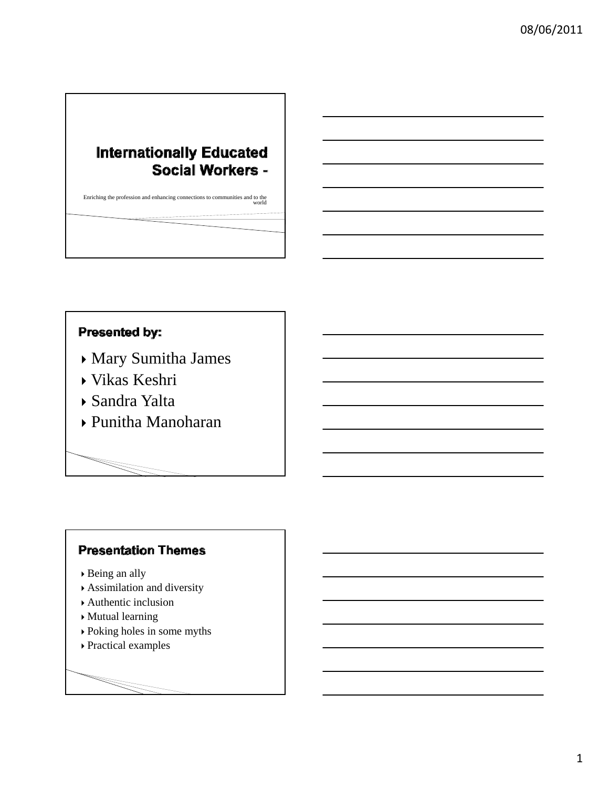# **Internationally Educated** Social Workers -

Enriching the profession and enhancing connections to communities and to the world

## Presented by:

- Mary Sumitha James
- Vikas Keshri
- Sandra Yalta
- Punitha Manoharan

## **Presentation Themes**

- Being an ally
- Assimilation and diversity
- Authentic inclusion
- Mutual learning
- Poking holes in some myths
- Practical examples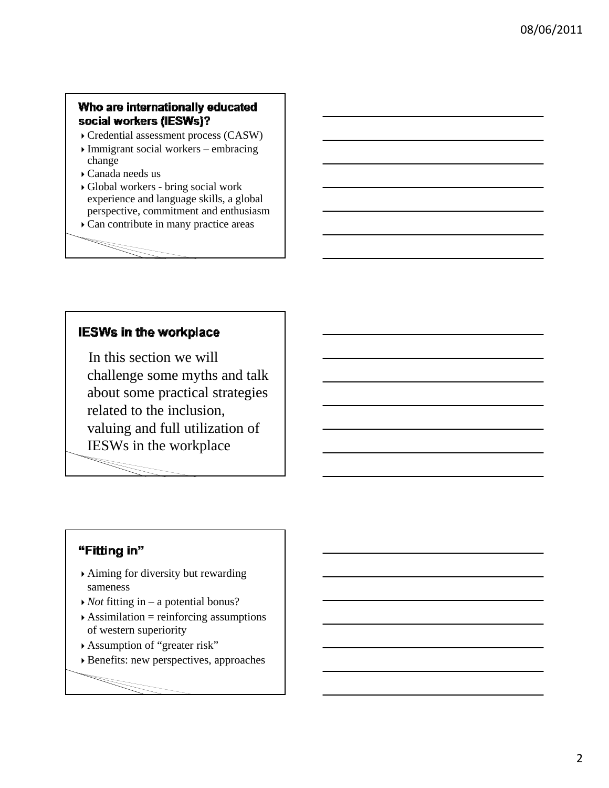#### Who are internationally educated social workers (IESWs)?

- Credential assessment process (CASW)
- $\sqrt{\frac{1}{2}}$  Immigrant social workers embracing change
- $\triangleright$  Canada needs us
- Global workers bring social work experience and language skills, a global perspective, commitment and enthusiasm
- Can contribute in many practice areas

### **IESWs in the workplace**

In this section we will challenge some myths and talk about some practical strategies related to the inclusion, valuing and full utilization of IESWs in the workplace

#### "Fitting in"

- Aiming for diversity but rewarding sameness
- *Not* fitting in a potential bonus?
- $\triangle$ Assimilation = reinforcing assumptions of western superiority
- Assumption of "greater risk"
- Benefits: new perspectives, approaches